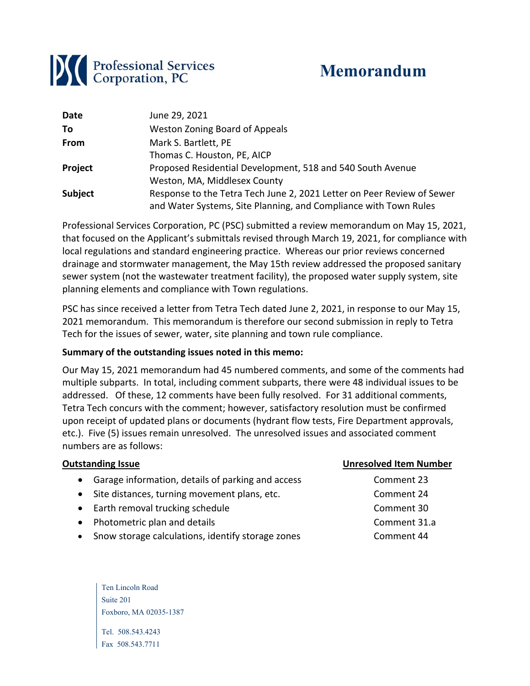

# **Memorandum**

| Date           | June 29, 2021                                                          |
|----------------|------------------------------------------------------------------------|
| To             | <b>Weston Zoning Board of Appeals</b>                                  |
| From           | Mark S. Bartlett, PE                                                   |
|                | Thomas C. Houston, PE, AICP                                            |
| <b>Project</b> | Proposed Residential Development, 518 and 540 South Avenue             |
|                | Weston, MA, Middlesex County                                           |
| <b>Subject</b> | Response to the Tetra Tech June 2, 2021 Letter on Peer Review of Sewer |
|                | and Water Systems, Site Planning, and Compliance with Town Rules       |

Professional Services Corporation, PC (PSC) submitted a review memorandum on May 15, 2021, that focused on the Applicant's submittals revised through March 19, 2021, for compliance with local regulations and standard engineering practice. Whereas our prior reviews concerned drainage and stormwater management, the May 15th review addressed the proposed sanitary sewer system (not the wastewater treatment facility), the proposed water supply system, site planning elements and compliance with Town regulations.

PSC has since received a letter from Tetra Tech dated June 2, 2021, in response to our May 15, 2021 memorandum. This memorandum is therefore our second submission in reply to Tetra Tech for the issues of sewer, water, site planning and town rule compliance.

#### **Summary of the outstanding issues noted in this memo:**

Our May 15, 2021 memorandum had 45 numbered comments, and some of the comments had multiple subparts. In total, including comment subparts, there were 48 individual issues to be addressed. Of these, 12 comments have been fully resolved. For 31 additional comments, Tetra Tech concurs with the comment; however, satisfactory resolution must be confirmed upon receipt of updated plans or documents (hydrant flow tests, Fire Department approvals, etc.). Five (5) issues remain unresolved. The unresolved issues and associated comment numbers are as follows:

- Garage information, details of parking and access Comment 23
- Site distances, turning movement plans, etc. The Site of Comment 24
- Earth removal trucking schedule **by a struck of the Comment 30**
- Photometric plan and details Comment 31.a
- Snow storage calculations, identify storage zones Comment 44

Ten Lincoln Road Suite 201 Foxboro, MA 02035-1387 Tel. 508.543.4243

Fax 508.543.7711

#### **Outstanding Issue Unresolved Item Number**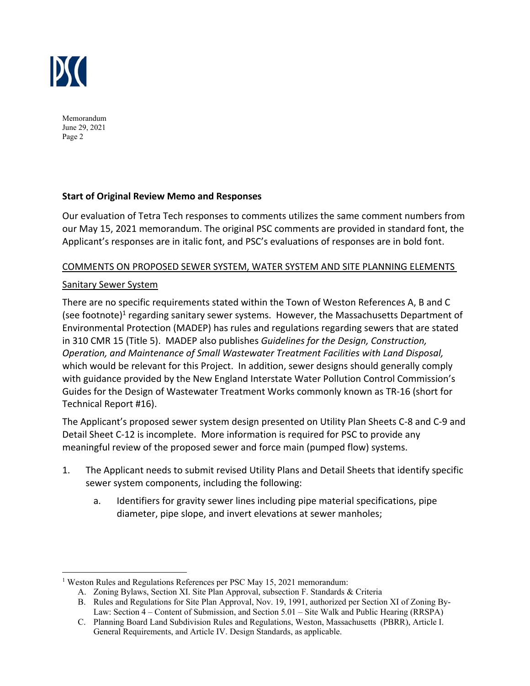

# **Start of Original Review Memo and Responses**

Our evaluation of Tetra Tech responses to comments utilizes the same comment numbers from our May 15, 2021 memorandum. The original PSC comments are provided in standard font, the Applicant's responses are in italic font, and PSC's evaluations of responses are in bold font.

#### COMMENTS ON PROPOSED SEWER SYSTEM, WATER SYSTEM AND SITE PLANNING ELEMENTS

#### Sanitary Sewer System

There are no specific requirements stated within the Town of Weston References A, B and C (see footnote)<sup>1</sup> regarding sanitary sewer systems. However, the Massachusetts Department of Environmental Protection (MADEP) has rules and regulations regarding sewers that are stated in 310 CMR 15 (Title 5). MADEP also publishes *Guidelines for the Design, Construction, Operation, and Maintenance of Small Wastewater Treatment Facilities with Land Disposal,*  which would be relevant for this Project. In addition, sewer designs should generally comply with guidance provided by the New England Interstate Water Pollution Control Commission's Guides for the Design of Wastewater Treatment Works commonly known as TR‐16 (short for Technical Report #16).

The Applicant's proposed sewer system design presented on Utility Plan Sheets C‐8 and C‐9 and Detail Sheet C‐12 is incomplete. More information is required for PSC to provide any meaningful review of the proposed sewer and force main (pumped flow) systems.

- 1. The Applicant needs to submit revised Utility Plans and Detail Sheets that identify specific sewer system components, including the following:
	- a. Identifiers for gravity sewer lines including pipe material specifications, pipe diameter, pipe slope, and invert elevations at sewer manholes;

<sup>&</sup>lt;sup>1</sup> Weston Rules and Regulations References per PSC May 15, 2021 memorandum:

A. Zoning Bylaws, Section XI. Site Plan Approval, subsection F. Standards & Criteria

B. Rules and Regulations for Site Plan Approval, Nov. 19, 1991, authorized per Section XI of Zoning By-Law: Section 4 – Content of Submission, and Section 5.01 – Site Walk and Public Hearing (RRSPA)

C. Planning Board Land Subdivision Rules and Regulations, Weston, Massachusetts (PBRR), Article I. General Requirements, and Article IV. Design Standards, as applicable.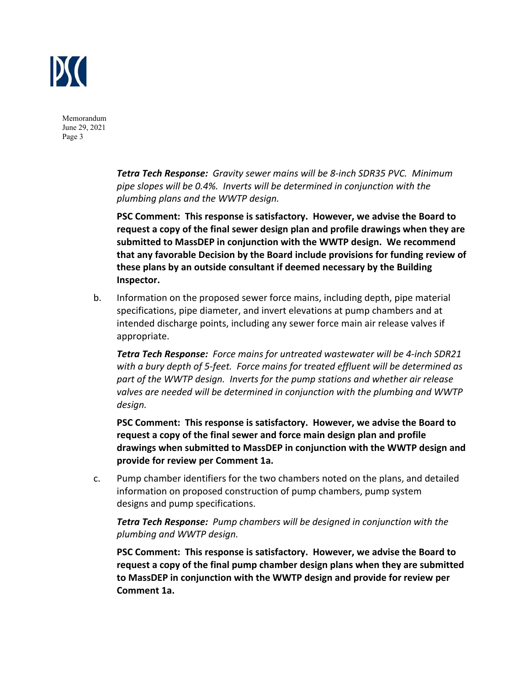

> *Tetra Tech Response: Gravity sewer mains will be 8‐inch SDR35 PVC. Minimum pipe slopes will be 0.4%. Inverts will be determined in conjunction with the plumbing plans and the WWTP design.*

**PSC Comment: This response is satisfactory. However, we advise the Board to request a copy of the final sewer design plan and profile drawings when they are submitted to MassDEP in conjunction with the WWTP design. We recommend that any favorable Decision by the Board include provisions for funding review of these plans by an outside consultant if deemed necessary by the Building Inspector.** 

b. Information on the proposed sewer force mains, including depth, pipe material specifications, pipe diameter, and invert elevations at pump chambers and at intended discharge points, including any sewer force main air release valves if appropriate.

*Tetra Tech Response: Force mains for untreated wastewater will be 4‐inch SDR21 with a bury depth of 5‐feet. Force mains for treated effluent will be determined as part of the WWTP design. Inverts for the pump stations and whether air release valves are needed will be determined in conjunction with the plumbing and WWTP design.* 

**PSC Comment: This response is satisfactory. However, we advise the Board to request a copy of the final sewer and force main design plan and profile drawings when submitted to MassDEP in conjunction with the WWTP design and provide for review per Comment 1a.** 

c. Pump chamber identifiers for the two chambers noted on the plans, and detailed information on proposed construction of pump chambers, pump system designs and pump specifications.

*Tetra Tech Response: Pump chambers will be designed in conjunction with the plumbing and WWTP design.* 

**PSC Comment: This response is satisfactory. However, we advise the Board to request a copy of the final pump chamber design plans when they are submitted to MassDEP in conjunction with the WWTP design and provide for review per Comment 1a.**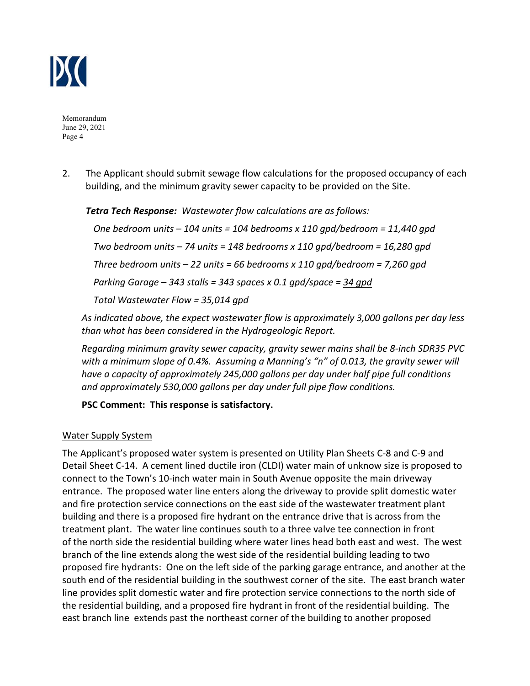

2. The Applicant should submit sewage flow calculations for the proposed occupancy of each building, and the minimum gravity sewer capacity to be provided on the Site.

*Tetra Tech Response: Wastewater flow calculations are as follows: One bedroom units – 104 units = 104 bedrooms x 110 gpd/bedroom = 11,440 gpd Two bedroom units – 74 units = 148 bedrooms x 110 gpd/bedroom = 16,280 gpd Three bedroom units – 22 units = 66 bedrooms x 110 gpd/bedroom = 7,260 gpd Parking Garage – 343 stalls = 343 spaces x 0.1 gpd/space = 34 gpd Total Wastewater Flow = 35,014 gpd* 

*As indicated above, the expect wastewater flow is approximately 3,000 gallons per day less than what has been considered in the Hydrogeologic Report.* 

*Regarding minimum gravity sewer capacity, gravity sewer mains shall be 8‐inch SDR35 PVC with a minimum slope of 0.4%. Assuming a Manning's "n" of 0.013, the gravity sewer will have a capacity of approximately 245,000 gallons per day under half pipe full conditions and approximately 530,000 gallons per day under full pipe flow conditions.* 

# **PSC Comment: This response is satisfactory.**

# Water Supply System

The Applicant's proposed water system is presented on Utility Plan Sheets C‐8 and C‐9 and Detail Sheet C‐14. A cement lined ductile iron (CLDI) water main of unknow size is proposed to connect to the Town's 10‐inch water main in South Avenue opposite the main driveway entrance. The proposed water line enters along the driveway to provide split domestic water and fire protection service connections on the east side of the wastewater treatment plant building and there is a proposed fire hydrant on the entrance drive that is across from the treatment plant. The water line continues south to a three valve tee connection in front of the north side the residential building where water lines head both east and west. The west branch of the line extends along the west side of the residential building leading to two proposed fire hydrants: One on the left side of the parking garage entrance, and another at the south end of the residential building in the southwest corner of the site. The east branch water line provides split domestic water and fire protection service connections to the north side of the residential building, and a proposed fire hydrant in front of the residential building. The east branch line extends past the northeast corner of the building to another proposed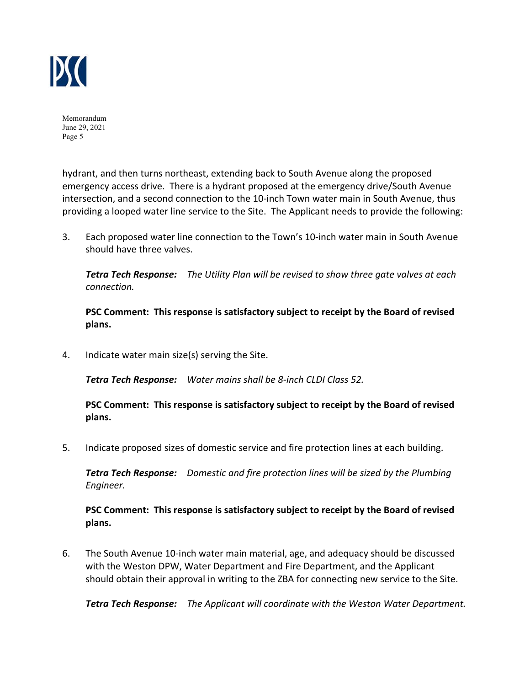

hydrant, and then turns northeast, extending back to South Avenue along the proposed emergency access drive. There is a hydrant proposed at the emergency drive/South Avenue intersection, and a second connection to the 10-inch Town water main in South Avenue, thus providing a looped water line service to the Site. The Applicant needs to provide the following:

3. Each proposed water line connection to the Town's 10‐inch water main in South Avenue should have three valves.

*Tetra Tech Response: The Utility Plan will be revised to show three gate valves at each connection.* 

**PSC Comment: This response is satisfactory subject to receipt by the Board of revised plans.**

4. Indicate water main size(s) serving the Site.

*Tetra Tech Response: Water mains shall be 8‐inch CLDI Class 52.* 

**PSC Comment: This response is satisfactory subject to receipt by the Board of revised plans.**

5. Indicate proposed sizes of domestic service and fire protection lines at each building.

*Tetra Tech Response: Domestic and fire protection lines will be sized by the Plumbing Engineer.* 

**PSC Comment: This response is satisfactory subject to receipt by the Board of revised plans.**

6. The South Avenue 10‐inch water main material, age, and adequacy should be discussed with the Weston DPW, Water Department and Fire Department, and the Applicant should obtain their approval in writing to the ZBA for connecting new service to the Site.

*Tetra Tech Response: The Applicant will coordinate with the Weston Water Department.*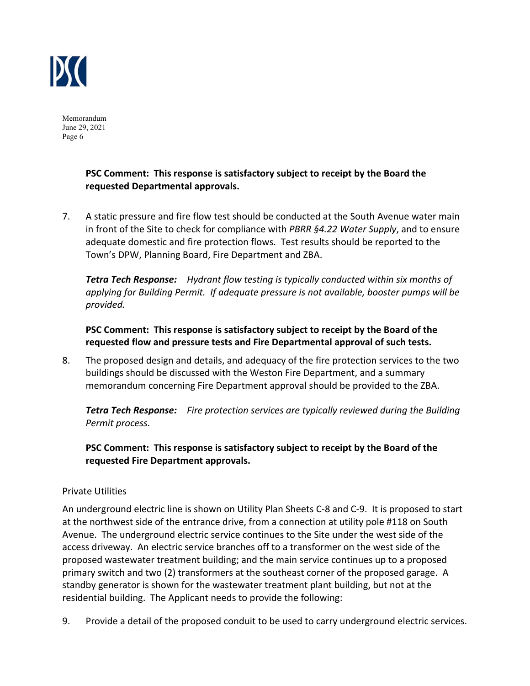

# **PSC Comment: This response is satisfactory subject to receipt by the Board the requested Departmental approvals.**

7. A static pressure and fire flow test should be conducted at the South Avenue water main in front of the Site to check for compliance with *PBRR §4.22 Water Supply*, and to ensure adequate domestic and fire protection flows. Test results should be reported to the Town's DPW, Planning Board, Fire Department and ZBA.

*Tetra Tech Response: Hydrant flow testing is typically conducted within six months of applying for Building Permit. If adequate pressure is not available, booster pumps will be provided.* 

**PSC Comment: This response is satisfactory subject to receipt by the Board of the requested flow and pressure tests and Fire Departmental approval of such tests.**

8. The proposed design and details, and adequacy of the fire protection services to the two buildings should be discussed with the Weston Fire Department, and a summary memorandum concerning Fire Department approval should be provided to the ZBA.

*Tetra Tech Response: Fire protection services are typically reviewed during the Building Permit process.* 

**PSC Comment: This response is satisfactory subject to receipt by the Board of the requested Fire Department approvals.**

# Private Utilities

An underground electric line is shown on Utility Plan Sheets C‐8 and C‐9. It is proposed to start at the northwest side of the entrance drive, from a connection at utility pole #118 on South Avenue. The underground electric service continues to the Site under the west side of the access driveway. An electric service branches off to a transformer on the west side of the proposed wastewater treatment building; and the main service continues up to a proposed primary switch and two (2) transformers at the southeast corner of the proposed garage. A standby generator is shown for the wastewater treatment plant building, but not at the residential building. The Applicant needs to provide the following:

9. Provide a detail of the proposed conduit to be used to carry underground electric services.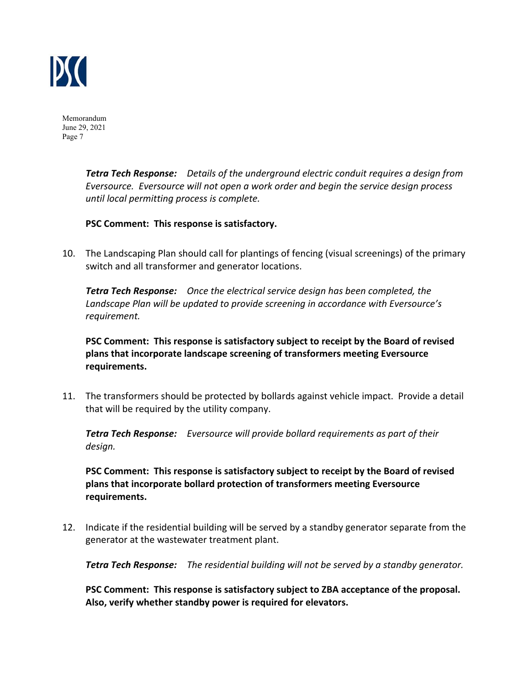

> *Tetra Tech Response: Details of the underground electric conduit requires a design from Eversource. Eversource will not open a work order and begin the service design process until local permitting process is complete.*

# **PSC Comment: This response is satisfactory.**

10. The Landscaping Plan should call for plantings of fencing (visual screenings) of the primary switch and all transformer and generator locations.

*Tetra Tech Response: Once the electrical service design has been completed, the Landscape Plan will be updated to provide screening in accordance with Eversource's requirement.* 

**PSC Comment: This response is satisfactory subject to receipt by the Board of revised plans that incorporate landscape screening of transformers meeting Eversource requirements.** 

11. The transformers should be protected by bollards against vehicle impact. Provide a detail that will be required by the utility company.

*Tetra Tech Response: Eversource will provide bollard requirements as part of their design.* 

**PSC Comment: This response is satisfactory subject to receipt by the Board of revised plans that incorporate bollard protection of transformers meeting Eversource requirements.** 

12. Indicate if the residential building will be served by a standby generator separate from the generator at the wastewater treatment plant.

*Tetra Tech Response: The residential building will not be served by a standby generator.* 

**PSC Comment: This response is satisfactory subject to ZBA acceptance of the proposal. Also, verify whether standby power is required for elevators.**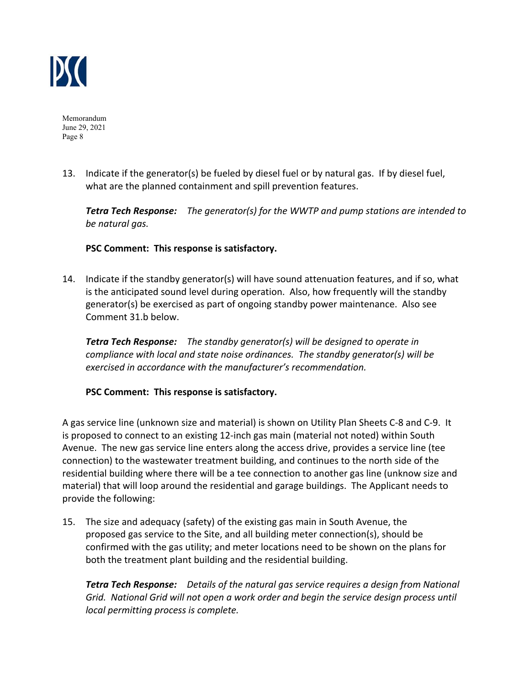

13. Indicate if the generator(s) be fueled by diesel fuel or by natural gas. If by diesel fuel, what are the planned containment and spill prevention features.

*Tetra Tech Response: The generator(s) for the WWTP and pump stations are intended to be natural gas.* 

# **PSC Comment: This response is satisfactory.**

14. Indicate if the standby generator(s) will have sound attenuation features, and if so, what is the anticipated sound level during operation. Also, how frequently will the standby generator(s) be exercised as part of ongoing standby power maintenance. Also see Comment 31.b below.

*Tetra Tech Response: The standby generator(s) will be designed to operate in compliance with local and state noise ordinances. The standby generator(s) will be exercised in accordance with the manufacturer's recommendation.*

# **PSC Comment: This response is satisfactory.**

A gas service line (unknown size and material) is shown on Utility Plan Sheets C‐8 and C‐9. It is proposed to connect to an existing 12‐inch gas main (material not noted) within South Avenue. The new gas service line enters along the access drive, provides a service line (tee connection) to the wastewater treatment building, and continues to the north side of the residential building where there will be a tee connection to another gas line (unknow size and material) that will loop around the residential and garage buildings. The Applicant needs to provide the following:

15. The size and adequacy (safety) of the existing gas main in South Avenue, the proposed gas service to the Site, and all building meter connection(s), should be confirmed with the gas utility; and meter locations need to be shown on the plans for both the treatment plant building and the residential building.

*Tetra Tech Response: Details of the natural gas service requires a design from National Grid. National Grid will not open a work order and begin the service design process until local permitting process is complete.*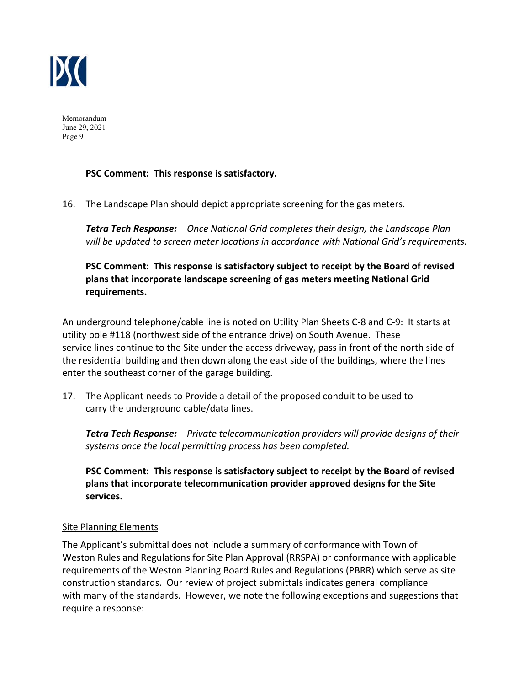

# **PSC Comment: This response is satisfactory.**

16. The Landscape Plan should depict appropriate screening for the gas meters.

*Tetra Tech Response: Once National Grid completes their design, the Landscape Plan will be updated to screen meter locations in accordance with National Grid's requirements.* 

**PSC Comment: This response is satisfactory subject to receipt by the Board of revised plans that incorporate landscape screening of gas meters meeting National Grid requirements.** 

An underground telephone/cable line is noted on Utility Plan Sheets C‐8 and C‐9: It starts at utility pole #118 (northwest side of the entrance drive) on South Avenue. These service lines continue to the Site under the access driveway, pass in front of the north side of the residential building and then down along the east side of the buildings, where the lines enter the southeast corner of the garage building.

17. The Applicant needs to Provide a detail of the proposed conduit to be used to carry the underground cable/data lines.

*Tetra Tech Response: Private telecommunication providers will provide designs of their systems once the local permitting process has been completed.* 

**PSC Comment: This response is satisfactory subject to receipt by the Board of revised plans that incorporate telecommunication provider approved designs for the Site services.**

#### Site Planning Elements

The Applicant's submittal does not include a summary of conformance with Town of Weston Rules and Regulations for Site Plan Approval (RRSPA) or conformance with applicable requirements of the Weston Planning Board Rules and Regulations (PBRR) which serve as site construction standards. Our review of project submittals indicates general compliance with many of the standards. However, we note the following exceptions and suggestions that require a response: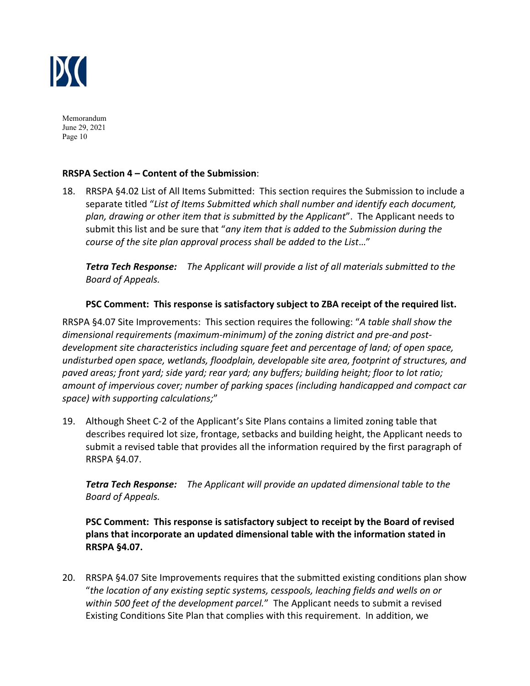

### **RRSPA Section 4 – Content of the Submission**:

18. RRSPA §4.02 List of All Items Submitted: This section requires the Submission to include a separate titled "*List of Items Submitted which shall number and identify each document, plan, drawing or other item that is submitted by the Applicant*". The Applicant needs to submit this list and be sure that "*any item that is added to the Submission during the course of the site plan approval process shall be added to the List*…"

*Tetra Tech Response: The Applicant will provide a list of all materials submitted to the Board of Appeals.* 

### **PSC Comment: This response is satisfactory subject to ZBA receipt of the required list.**

RRSPA §4.07 Site Improvements: This section requires the following: "*A table shall show the dimensional requirements (maximum‐minimum) of the zoning district and pre‐and post‐ development site characteristics including square feet and percentage of land; of open space, undisturbed open space, wetlands, floodplain, developable site area, footprint of structures, and paved areas; front yard; side yard; rear yard; any buffers; building height; floor to lot ratio; amount of impervious cover; number of parking spaces (including handicapped and compact car space) with supporting calculations;*"

19. Although Sheet C‐2 of the Applicant's Site Plans contains a limited zoning table that describes required lot size, frontage, setbacks and building height, the Applicant needs to submit a revised table that provides all the information required by the first paragraph of RRSPA §4.07.

*Tetra Tech Response: The Applicant will provide an updated dimensional table to the Board of Appeals.* 

**PSC Comment: This response is satisfactory subject to receipt by the Board of revised plans that incorporate an updated dimensional table with the information stated in RRSPA §4.07.**

20. RRSPA §4.07 Site Improvements requires that the submitted existing conditions plan show "*the location of any existing septic systems, cesspools, leaching fields and wells on or within 500 feet of the development parcel.*" The Applicant needs to submit a revised Existing Conditions Site Plan that complies with this requirement. In addition, we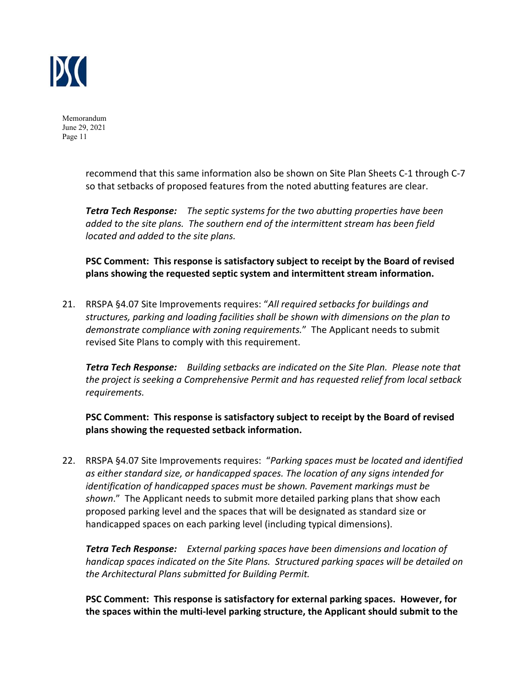

> recommend that this same information also be shown on Site Plan Sheets C‐1 through C‐7 so that setbacks of proposed features from the noted abutting features are clear.

*Tetra Tech Response: The septic systems for the two abutting properties have been added to the site plans. The southern end of the intermittent stream has been field located and added to the site plans.* 

**PSC Comment: This response is satisfactory subject to receipt by the Board of revised plans showing the requested septic system and intermittent stream information.**

21. RRSPA §4.07 Site Improvements requires: "*All required setbacks for buildings and structures, parking and loading facilities shall be shown with dimensions on the plan to demonstrate compliance with zoning requirements.*" The Applicant needs to submit revised Site Plans to comply with this requirement.

*Tetra Tech Response: Building setbacks are indicated on the Site Plan. Please note that the project is seeking a Comprehensive Permit and has requested relief from local setback requirements.* 

**PSC Comment: This response is satisfactory subject to receipt by the Board of revised plans showing the requested setback information.**

22. RRSPA §4.07 Site Improvements requires: "*Parking spaces must be located and identified as either standard size, or handicapped spaces. The location of any signs intended for identification of handicapped spaces must be shown. Pavement markings must be shown*." The Applicant needs to submit more detailed parking plans that show each proposed parking level and the spaces that will be designated as standard size or handicapped spaces on each parking level (including typical dimensions).

*Tetra Tech Response: External parking spaces have been dimensions and location of handicap spaces indicated on the Site Plans. Structured parking spaces will be detailed on the Architectural Plans submitted for Building Permit.* 

**PSC Comment: This response is satisfactory for external parking spaces. However, for the spaces within the multi‐level parking structure, the Applicant should submit to the**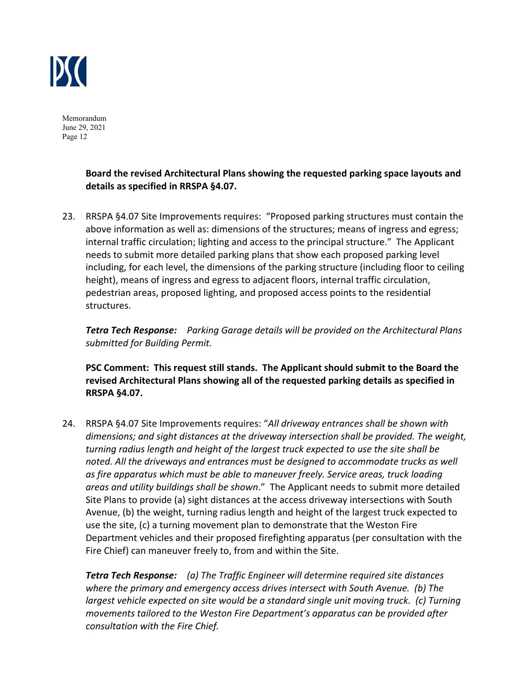

# **Board the revised Architectural Plans showing the requested parking space layouts and details as specified in RRSPA §4.07.**

23. RRSPA §4.07 Site Improvements requires: "Proposed parking structures must contain the above information as well as: dimensions of the structures; means of ingress and egress; internal traffic circulation; lighting and access to the principal structure." The Applicant needs to submit more detailed parking plans that show each proposed parking level including, for each level, the dimensions of the parking structure (including floor to ceiling height), means of ingress and egress to adjacent floors, internal traffic circulation, pedestrian areas, proposed lighting, and proposed access points to the residential structures.

*Tetra Tech Response: Parking Garage details will be provided on the Architectural Plans submitted for Building Permit.* 

**PSC Comment: This request still stands. The Applicant should submit to the Board the revised Architectural Plans showing all of the requested parking details as specified in RRSPA §4.07.**

24. RRSPA §4.07 Site Improvements requires: "*All driveway entrances shall be shown with dimensions; and sight distances at the driveway intersection shall be provided. The weight, turning radius length and height of the largest truck expected to use the site shall be noted. All the driveways and entrances must be designed to accommodate trucks as well as fire apparatus which must be able to maneuver freely. Service areas, truck loading areas and utility buildings shall be shown*." The Applicant needs to submit more detailed Site Plans to provide (a) sight distances at the access driveway intersections with South Avenue, (b) the weight, turning radius length and height of the largest truck expected to use the site, (c) a turning movement plan to demonstrate that the Weston Fire Department vehicles and their proposed firefighting apparatus (per consultation with the Fire Chief) can maneuver freely to, from and within the Site.

*Tetra Tech Response: (a) The Traffic Engineer will determine required site distances where the primary and emergency access drives intersect with South Avenue. (b) The largest vehicle expected on site would be a standard single unit moving truck. (c) Turning movements tailored to the Weston Fire Department's apparatus can be provided after consultation with the Fire Chief.*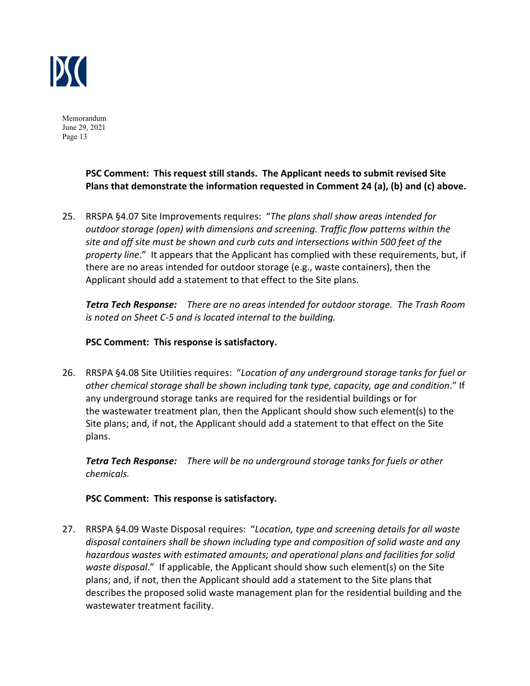

# **PSC Comment: This request still stands. The Applicant needs to submit revised Site Plans that demonstrate the information requested in Comment 24 (a), (b) and (c) above.**

25. RRSPA §4.07 Site Improvements requires: "*The plans shall show areas intended for outdoor storage (open) with dimensions and screening. Traffic flow patterns within the site and off site must be shown and curb cuts and intersections within 500 feet of the property line*." It appears that the Applicant has complied with these requirements, but, if there are no areas intended for outdoor storage (e.g., waste containers), then the Applicant should add a statement to that effect to the Site plans.

*Tetra Tech Response: There are no areas intended for outdoor storage. The Trash Room is noted on Sheet C‐5 and is located internal to the building.* 

# **PSC Comment: This response is satisfactory.**

26. RRSPA §4.08 Site Utilities requires: "*Location of any underground storage tanks for fuel or other chemical storage shall be shown including tank type, capacity, age and condition*." If any underground storage tanks are required for the residential buildings or for the wastewater treatment plan, then the Applicant should show such element(s) to the Site plans; and, if not, the Applicant should add a statement to that effect on the Site plans.

*Tetra Tech Response: There will be no underground storage tanks for fuels or other chemicals.* 

# **PSC Comment: This response is satisfactory.**

27. RRSPA §4.09 Waste Disposal requires: "*Location, type and screening details for all waste disposal containers shall be shown including type and composition of solid waste and any hazardous wastes with estimated amounts; and operational plans and facilities for solid waste disposal*." If applicable, the Applicant should show such element(s) on the Site plans; and, if not, then the Applicant should add a statement to the Site plans that describes the proposed solid waste management plan for the residential building and the wastewater treatment facility.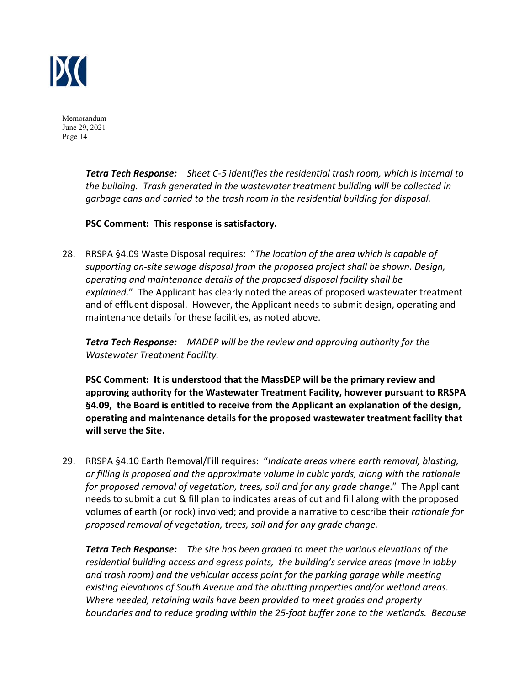

> *Tetra Tech Response: Sheet C‐5 identifies the residential trash room, which is internal to the building. Trash generated in the wastewater treatment building will be collected in garbage cans and carried to the trash room in the residential building for disposal.*

### **PSC Comment: This response is satisfactory.**

28. RRSPA §4.09 Waste Disposal requires: "*The location of the area which is capable of supporting on‐site sewage disposal from the proposed project shall be shown. Design, operating and maintenance details of the proposed disposal facility shall be explained*." The Applicant has clearly noted the areas of proposed wastewater treatment and of effluent disposal. However, the Applicant needs to submit design, operating and maintenance details for these facilities, as noted above.

*Tetra Tech Response: MADEP will be the review and approving authority for the Wastewater Treatment Facility.* 

**PSC Comment: It is understood that the MassDEP will be the primary review and approving authority for the Wastewater Treatment Facility, however pursuant to RRSPA §4.09, the Board is entitled to receive from the Applicant an explanation of the design, operating and maintenance details for the proposed wastewater treatment facility that will serve the Site.**

29. RRSPA §4.10 Earth Removal/Fill requires: "*Indicate areas where earth removal, blasting, or filling is proposed and the approximate volume in cubic yards, along with the rationale for proposed removal of vegetation, trees, soil and for any grade change*." The Applicant needs to submit a cut & fill plan to indicates areas of cut and fill along with the proposed volumes of earth (or rock) involved; and provide a narrative to describe their *rationale for proposed removal of vegetation, trees, soil and for any grade change.*

*Tetra Tech Response: The site has been graded to meet the various elevations of the residential building access and egress points, the building's service areas (move in lobby and trash room) and the vehicular access point for the parking garage while meeting existing elevations of South Avenue and the abutting properties and/or wetland areas. Where needed, retaining walls have been provided to meet grades and property boundaries and to reduce grading within the 25‐foot buffer zone to the wetlands. Because*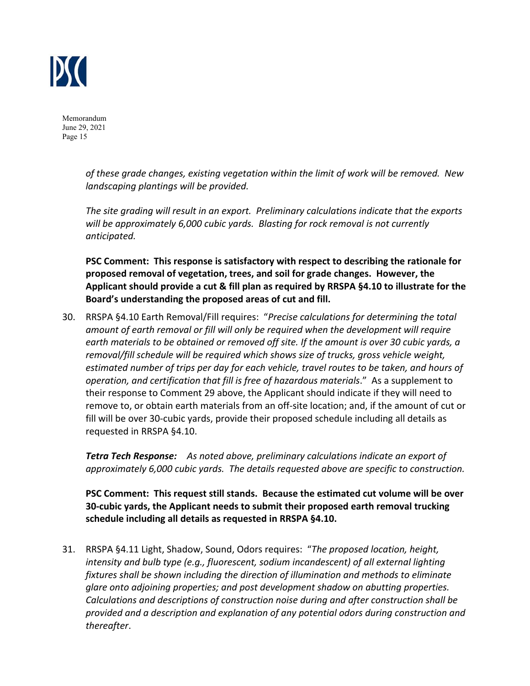

> *of these grade changes, existing vegetation within the limit of work will be removed. New landscaping plantings will be provided.*

> *The site grading will result in an export. Preliminary calculations indicate that the exports will be approximately 6,000 cubic yards. Blasting for rock removal is not currently anticipated.*

> **PSC Comment: This response is satisfactory with respect to describing the rationale for proposed removal of vegetation, trees, and soil for grade changes. However, the Applicant should provide a cut & fill plan as required by RRSPA §4.10 to illustrate for the Board's understanding the proposed areas of cut and fill.**

30. RRSPA §4.10 Earth Removal/Fill requires: "*Precise calculations for determining the total amount of earth removal or fill will only be required when the development will require earth materials to be obtained or removed off site. If the amount is over 30 cubic yards, a removal/fill schedule will be required which shows size of trucks, gross vehicle weight, estimated number of trips per day for each vehicle, travel routes to be taken, and hours of operation, and certification that fill is free of hazardous materials*." As a supplement to their response to Comment 29 above, the Applicant should indicate if they will need to remove to, or obtain earth materials from an off‐site location; and, if the amount of cut or fill will be over 30-cubic yards, provide their proposed schedule including all details as requested in RRSPA §4.10.

*Tetra Tech Response: As noted above, preliminary calculations indicate an export of approximately 6,000 cubic yards. The details requested above are specific to construction.* 

**PSC Comment: This request still stands. Because the estimated cut volume will be over 30‐cubic yards, the Applicant needs to submit their proposed earth removal trucking schedule including all details as requested in RRSPA §4.10.**

31. RRSPA §4.11 Light, Shadow, Sound, Odors requires: "*The proposed location, height, intensity and bulb type (e.g., fluorescent, sodium incandescent) of all external lighting fixtures shall be shown including the direction of illumination and methods to eliminate glare onto adjoining properties; and post development shadow on abutting properties. Calculations and descriptions of construction noise during and after construction shall be provided and a description and explanation of any potential odors during construction and thereafter*.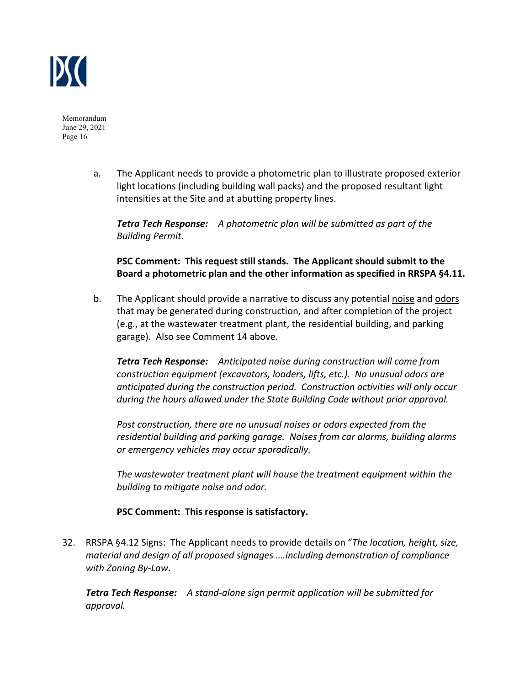

> a. The Applicant needs to provide a photometric plan to illustrate proposed exterior light locations (including building wall packs) and the proposed resultant light intensities at the Site and at abutting property lines.

*Tetra Tech Response: A photometric plan will be submitted as part of the Building Permit.* 

# **PSC Comment: This request still stands. The Applicant should submit to the Board a photometric plan and the other information as specified in RRSPA §4.11.**

b. The Applicant should provide a narrative to discuss any potential noise and odors that may be generated during construction, and after completion of the project (e.g., at the wastewater treatment plant, the residential building, and parking garage). Also see Comment 14 above.

*Tetra Tech Response: Anticipated noise during construction will come from construction equipment (excavators, loaders, lifts, etc.). No unusual odors are anticipated during the construction period. Construction activities will only occur during the hours allowed under the State Building Code without prior approval.* 

*Post construction, there are no unusual noises or odors expected from the residential building and parking garage. Noises from car alarms, building alarms or emergency vehicles may occur sporadically.* 

*The wastewater treatment plant will house the treatment equipment within the building to mitigate noise and odor.* 

#### **PSC Comment: This response is satisfactory.**

32. RRSPA §4.12 Signs: The Applicant needs to provide details on "*The location, height, size, material and design of all proposed signages ….including demonstration of compliance with Zoning By‐Law*.

*Tetra Tech Response: A stand‐alone sign permit application will be submitted for approval.*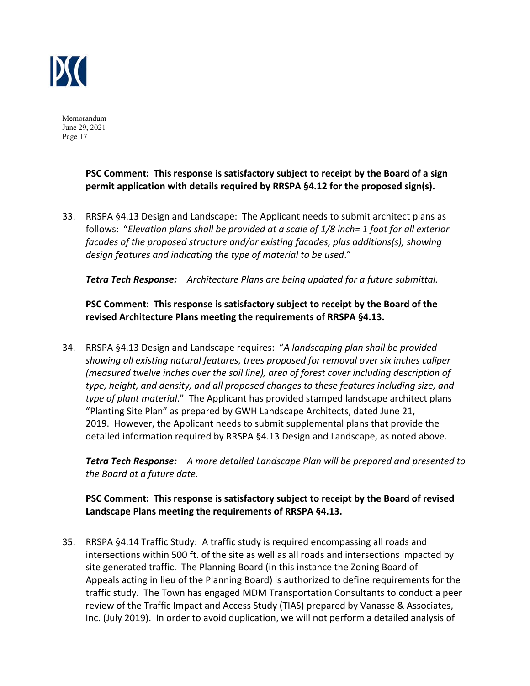

# **PSC Comment: This response is satisfactory subject to receipt by the Board of a sign permit application with details required by RRSPA §4.12 for the proposed sign(s).**

33. RRSPA §4.13 Design and Landscape: The Applicant needs to submit architect plans as follows: "*Elevation plans shall be provided at a scale of 1/8 inch= 1 foot for all exterior facades of the proposed structure and/or existing facades, plus additions(s), showing design features and indicating the type of material to be used*."

*Tetra Tech Response: Architecture Plans are being updated for a future submittal.* 

# **PSC Comment: This response is satisfactory subject to receipt by the Board of the revised Architecture Plans meeting the requirements of RRSPA §4.13.**

34. RRSPA §4.13 Design and Landscape requires: "*A landscaping plan shall be provided showing all existing natural features, trees proposed for removal over six inches caliper (measured twelve inches over the soil line), area of forest cover including description of type, height, and density, and all proposed changes to these features including size, and type of plant material*." The Applicant has provided stamped landscape architect plans "Planting Site Plan" as prepared by GWH Landscape Architects, dated June 21, 2019. However, the Applicant needs to submit supplemental plans that provide the detailed information required by RRSPA §4.13 Design and Landscape, as noted above.

*Tetra Tech Response: A more detailed Landscape Plan will be prepared and presented to the Board at a future date.* 

# **PSC Comment: This response is satisfactory subject to receipt by the Board of revised Landscape Plans meeting the requirements of RRSPA §4.13.**

35. RRSPA §4.14 Traffic Study: A traffic study is required encompassing all roads and intersections within 500 ft. of the site as well as all roads and intersections impacted by site generated traffic. The Planning Board (in this instance the Zoning Board of Appeals acting in lieu of the Planning Board) is authorized to define requirements for the traffic study. The Town has engaged MDM Transportation Consultants to conduct a peer review of the Traffic Impact and Access Study (TIAS) prepared by Vanasse & Associates, Inc. (July 2019). In order to avoid duplication, we will not perform a detailed analysis of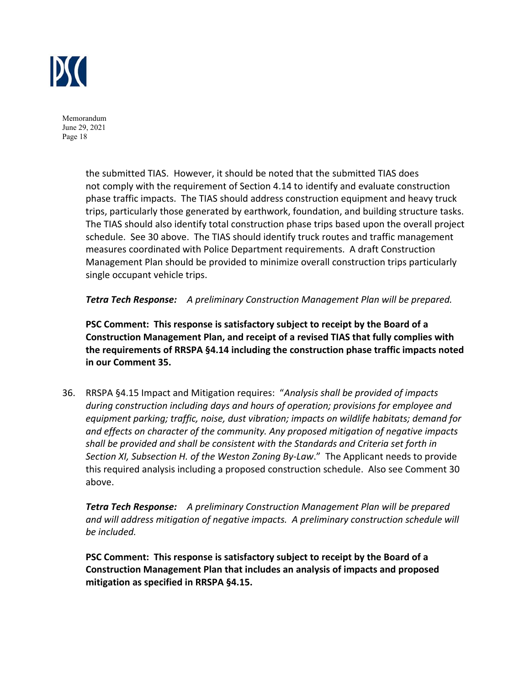

> the submitted TIAS. However, it should be noted that the submitted TIAS does not comply with the requirement of Section 4.14 to identify and evaluate construction phase traffic impacts. The TIAS should address construction equipment and heavy truck trips, particularly those generated by earthwork, foundation, and building structure tasks. The TIAS should also identify total construction phase trips based upon the overall project schedule. See 30 above. The TIAS should identify truck routes and traffic management measures coordinated with Police Department requirements. A draft Construction Management Plan should be provided to minimize overall construction trips particularly single occupant vehicle trips.

*Tetra Tech Response: A preliminary Construction Management Plan will be prepared.* 

**PSC Comment: This response is satisfactory subject to receipt by the Board of a Construction Management Plan, and receipt of a revised TIAS that fully complies with the requirements of RRSPA §4.14 including the construction phase traffic impacts noted in our Comment 35.**

36. RRSPA §4.15 Impact and Mitigation requires: "*Analysis shall be provided of impacts during construction including days and hours of operation; provisions for employee and equipment parking; traffic, noise, dust vibration; impacts on wildlife habitats; demand for and effects on character of the community. Any proposed mitigation of negative impacts shall be provided and shall be consistent with the Standards and Criteria set forth in Section XI, Subsection H. of the Weston Zoning By‐Law*." The Applicant needs to provide this required analysis including a proposed construction schedule. Also see Comment 30 above.

*Tetra Tech Response: A preliminary Construction Management Plan will be prepared and will address mitigation of negative impacts. A preliminary construction schedule will be included.* 

**PSC Comment: This response is satisfactory subject to receipt by the Board of a Construction Management Plan that includes an analysis of impacts and proposed mitigation as specified in RRSPA §4.15.**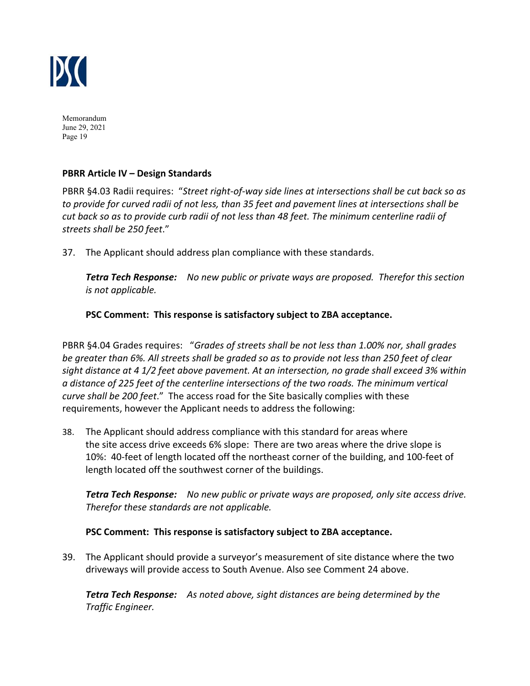

# **PBRR Article IV – Design Standards**

PBRR §4.03 Radii requires: "*Street right‐of‐way side lines at intersections shall be cut back so as to provide for curved radii of not less, than 35 feet and pavement lines at intersections shall be cut back so as to provide curb radii of not less than 48 feet. The minimum centerline radii of streets shall be 250 feet*."

37. The Applicant should address plan compliance with these standards.

*Tetra Tech Response: No new public or private ways are proposed. Therefor this section is not applicable.* 

**PSC Comment: This response is satisfactory subject to ZBA acceptance.**

PBRR §4.04 Grades requires: "*Grades of streets shall be not less than 1.00% nor, shall grades be greater than 6%. All streets shall be graded so as to provide not less than 250 feet of clear sight distance at 4 1/2 feet above pavement. At an intersection, no grade shall exceed 3% within a distance of 225 feet of the centerline intersections of the two roads. The minimum vertical curve shall be 200 feet*." The access road for the Site basically complies with these requirements, however the Applicant needs to address the following:

38. The Applicant should address compliance with this standard for areas where the site access drive exceeds 6% slope: There are two areas where the drive slope is 10%: 40-feet of length located off the northeast corner of the building, and 100-feet of length located off the southwest corner of the buildings.

*Tetra Tech Response: No new public or private ways are proposed, only site access drive. Therefor these standards are not applicable.* 

**PSC Comment: This response is satisfactory subject to ZBA acceptance.**

39. The Applicant should provide a surveyor's measurement of site distance where the two driveways will provide access to South Avenue. Also see Comment 24 above.

*Tetra Tech Response: As noted above, sight distances are being determined by the Traffic Engineer.*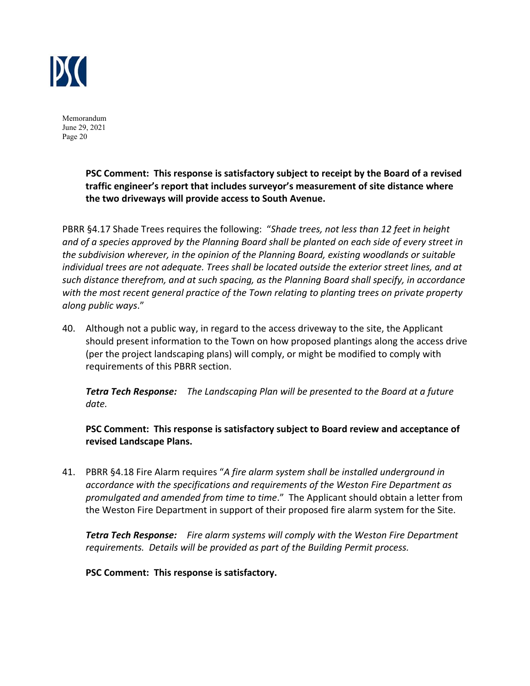

> **PSC Comment: This response is satisfactory subject to receipt by the Board of a revised traffic engineer's report that includes surveyor's measurement of site distance where the two driveways will provide access to South Avenue.**

PBRR §4.17 Shade Trees requires the following: "*Shade trees, not less than 12 feet in height and of a species approved by the Planning Board shall be planted on each side of every street in the subdivision wherever, in the opinion of the Planning Board, existing woodlands or suitable individual trees are not adequate. Trees shall be located outside the exterior street lines, and at such distance therefrom, and at such spacing, as the Planning Board shall specify, in accordance with the most recent general practice of the Town relating to planting trees on private property along public ways*."

40. Although not a public way, in regard to the access driveway to the site, the Applicant should present information to the Town on how proposed plantings along the access drive (per the project landscaping plans) will comply, or might be modified to comply with requirements of this PBRR section.

*Tetra Tech Response: The Landscaping Plan will be presented to the Board at a future date.* 

**PSC Comment: This response is satisfactory subject to Board review and acceptance of revised Landscape Plans.**

41. PBRR §4.18 Fire Alarm requires "*A fire alarm system shall be installed underground in accordance with the specifications and requirements of the Weston Fire Department as promulgated and amended from time to time*." The Applicant should obtain a letter from the Weston Fire Department in support of their proposed fire alarm system for the Site.

*Tetra Tech Response: Fire alarm systems will comply with the Weston Fire Department requirements. Details will be provided as part of the Building Permit process.* 

**PSC Comment: This response is satisfactory.**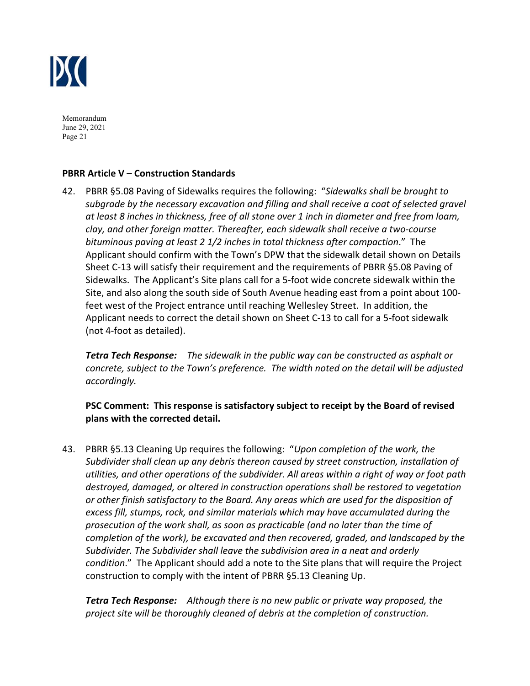

### **PBRR Article V – Construction Standards**

42. PBRR §5.08 Paving of Sidewalks requires the following: "*Sidewalks shall be brought to subgrade by the necessary excavation and filling and shall receive a coat of selected gravel at least 8 inches in thickness, free of all stone over 1 inch in diameter and free from loam, clay, and other foreign matter. Thereafter, each sidewalk shall receive a two‐course bituminous paving at least 2 1/2 inches in total thickness after compaction*." The Applicant should confirm with the Town's DPW that the sidewalk detail shown on Details Sheet C‐13 will satisfy their requirement and the requirements of PBRR §5.08 Paving of Sidewalks. The Applicant's Site plans call for a 5‐foot wide concrete sidewalk within the Site, and also along the south side of South Avenue heading east from a point about 100‐ feet west of the Project entrance until reaching Wellesley Street. In addition, the Applicant needs to correct the detail shown on Sheet C‐13 to call for a 5‐foot sidewalk (not 4‐foot as detailed).

*Tetra Tech Response: The sidewalk in the public way can be constructed as asphalt or concrete, subject to the Town's preference. The width noted on the detail will be adjusted accordingly.* 

**PSC Comment: This response is satisfactory subject to receipt by the Board of revised plans with the corrected detail.**

43. PBRR §5.13 Cleaning Up requires the following: "*Upon completion of the work, the Subdivider shall clean up any debris thereon caused by street construction, installation of utilities, and other operations of the subdivider. All areas within a right of way or foot path destroyed, damaged, or altered in construction operations shall be restored to vegetation or other finish satisfactory to the Board. Any areas which are used for the disposition of excess fill, stumps, rock, and similar materials which may have accumulated during the prosecution of the work shall, as soon as practicable (and no later than the time of completion of the work), be excavated and then recovered, graded, and landscaped by the Subdivider. The Subdivider shall leave the subdivision area in a neat and orderly condition*." The Applicant should add a note to the Site plans that will require the Project construction to comply with the intent of PBRR §5.13 Cleaning Up.

*Tetra Tech Response: Although there is no new public or private way proposed, the project site will be thoroughly cleaned of debris at the completion of construction.*